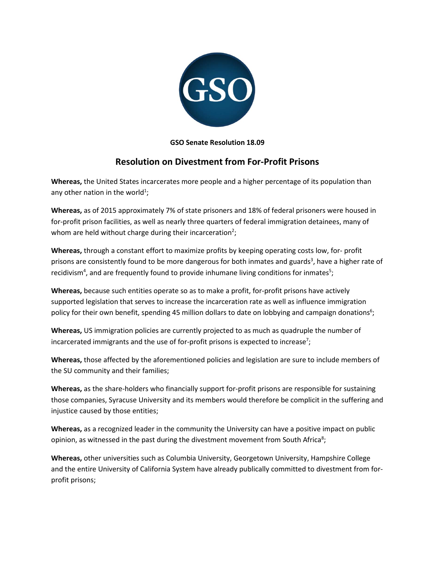

## **GSO Senate Resolution 18.09**

## **Resolution on Divestment from For-Profit Prisons**

**Whereas,** the United States incarcerates more people and a higher percentage of its population than any other nation in the world<sup>1</sup>;

**Whereas,** as of 2015 approximately 7% of state prisoners and 18% of federal prisoners were housed in for-profit prison facilities, as well as nearly three quarters of federal immigration detainees, many of whom are held without charge during their incarceration<sup>2</sup>;

**Whereas,** through a constant effort to maximize profits by keeping operating costs low, for- profit prisons are consistently found to be more dangerous for both inmates and guards<sup>3</sup>, have a higher rate of recidivism<sup>4</sup>, and are frequently found to provide inhumane living conditions for inmates<sup>5</sup>;

**Whereas,** because such entities operate so as to make a profit, for-profit prisons have actively supported legislation that serves to increase the incarceration rate as well as influence immigration policy for their own benefit, spending 45 million dollars to date on lobbying and campaign donations<sup>6</sup>;

**Whereas,** US immigration policies are currently projected to as much as quadruple the number of incarcerated immigrants and the use of for-profit prisons is expected to increase<sup>7</sup>;

**Whereas,** those affected by the aforementioned policies and legislation are sure to include members of the SU community and their families;

**Whereas,** as the share-holders who financially support for-profit prisons are responsible for sustaining those companies, Syracuse University and its members would therefore be complicit in the suffering and injustice caused by those entities;

**Whereas,** as a recognized leader in the community the University can have a positive impact on public opinion, as witnessed in the past during the divestment movement from South Africa<sup>8</sup>;

**Whereas,** other universities such as Columbia University, Georgetown University, Hampshire College and the entire University of California System have already publically committed to divestment from forprofit prisons;